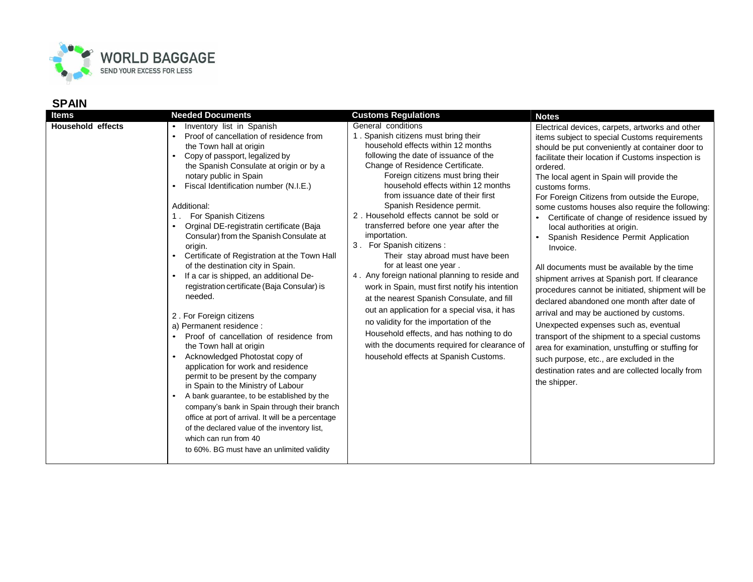

| ltems                    | <b>Needed Documents</b>                                                                                                                                                                                                                                                                                                                                                                                                                                                                                                                                                                                                                                                                                                                                                                                                                                                                                                                                                                                                                                                                                                                                                               | <b>Customs Regulations</b>                                                                                                                                                                                                                                                                                                                                                                                                                                                                                                                                                                                                                                                                                                                                                                                                                                                                                | <b>Notes</b>                                                                                                                                                                                                                                                                                                                                                                                                                                                                                                                                                                                                                                                                                                                                                                                                                                                                                                                                                                                                                              |
|--------------------------|---------------------------------------------------------------------------------------------------------------------------------------------------------------------------------------------------------------------------------------------------------------------------------------------------------------------------------------------------------------------------------------------------------------------------------------------------------------------------------------------------------------------------------------------------------------------------------------------------------------------------------------------------------------------------------------------------------------------------------------------------------------------------------------------------------------------------------------------------------------------------------------------------------------------------------------------------------------------------------------------------------------------------------------------------------------------------------------------------------------------------------------------------------------------------------------|-----------------------------------------------------------------------------------------------------------------------------------------------------------------------------------------------------------------------------------------------------------------------------------------------------------------------------------------------------------------------------------------------------------------------------------------------------------------------------------------------------------------------------------------------------------------------------------------------------------------------------------------------------------------------------------------------------------------------------------------------------------------------------------------------------------------------------------------------------------------------------------------------------------|-------------------------------------------------------------------------------------------------------------------------------------------------------------------------------------------------------------------------------------------------------------------------------------------------------------------------------------------------------------------------------------------------------------------------------------------------------------------------------------------------------------------------------------------------------------------------------------------------------------------------------------------------------------------------------------------------------------------------------------------------------------------------------------------------------------------------------------------------------------------------------------------------------------------------------------------------------------------------------------------------------------------------------------------|
| <b>Household effects</b> | Inventory list in Spanish<br>Proof of cancellation of residence from<br>the Town hall at origin<br>Copy of passport, legalized by<br>$\bullet$<br>the Spanish Consulate at origin or by a<br>notary public in Spain<br>Fiscal Identification number (N.I.E.)<br>Additional:<br>For Spanish Citizens<br>Orginal DE-registratin certificate (Baja<br>$\bullet$<br>Consular) from the Spanish Consulate at<br>origin.<br>Certificate of Registration at the Town Hall<br>of the destination city in Spain.<br>If a car is shipped, an additional De-<br>registration certificate (Baja Consular) is<br>needed.<br>2. For Foreign citizens<br>a) Permanent residence :<br>Proof of cancellation of residence from<br>the Town hall at origin<br>Acknowledged Photostat copy of<br>application for work and residence<br>permit to be present by the company<br>in Spain to the Ministry of Labour<br>A bank guarantee, to be established by the<br>$\bullet$<br>company's bank in Spain through their branch<br>office at port of arrival. It will be a percentage<br>of the declared value of the inventory list,<br>which can run from 40<br>to 60%. BG must have an unlimited validity | General conditions<br>1. Spanish citizens must bring their<br>household effects within 12 months<br>following the date of issuance of the<br>Change of Residence Certificate.<br>Foreign citizens must bring their<br>household effects within 12 months<br>from issuance date of their first<br>Spanish Residence permit.<br>2. Household effects cannot be sold or<br>transferred before one year after the<br>importation.<br>3. For Spanish citizens:<br>Their stay abroad must have been<br>for at least one year.<br>4. Any foreign national planning to reside and<br>work in Spain, must first notify his intention<br>at the nearest Spanish Consulate, and fill<br>out an application for a special visa, it has<br>no validity for the importation of the<br>Household effects, and has nothing to do<br>with the documents required for clearance of<br>household effects at Spanish Customs. | Electrical devices, carpets, artworks and other<br>items subject to special Customs requirements<br>should be put conveniently at container door to<br>facilitate their location if Customs inspection is<br>ordered.<br>The local agent in Spain will provide the<br>customs forms.<br>For Foreign Citizens from outside the Europe,<br>some customs houses also require the following:<br>Certificate of change of residence issued by<br>local authorities at origin.<br>Spanish Residence Permit Application<br>Invoice.<br>All documents must be available by the time<br>shipment arrives at Spanish port. If clearance<br>procedures cannot be initiated, shipment will be<br>declared abandoned one month after date of<br>arrival and may be auctioned by customs.<br>Unexpected expenses such as, eventual<br>transport of the shipment to a special customs<br>area for examination, unstuffing or stuffing for<br>such purpose, etc., are excluded in the<br>destination rates and are collected locally from<br>the shipper. |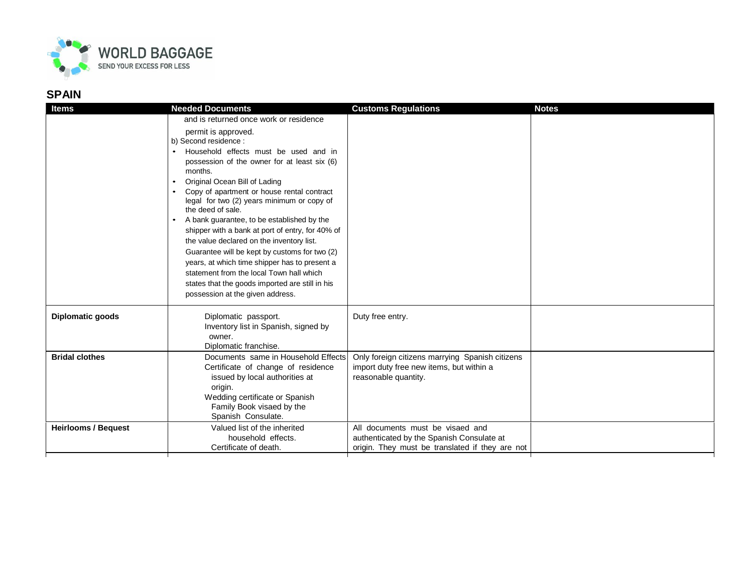

| <b>Items</b>               | <b>Needed Documents</b>                          | <b>Customs Regulations</b>                      | <b>Notes</b> |
|----------------------------|--------------------------------------------------|-------------------------------------------------|--------------|
|                            | and is returned once work or residence           |                                                 |              |
|                            | permit is approved.                              |                                                 |              |
|                            | b) Second residence :                            |                                                 |              |
|                            | Household effects must be used and in            |                                                 |              |
|                            | possession of the owner for at least six (6)     |                                                 |              |
|                            | months.                                          |                                                 |              |
|                            | Original Ocean Bill of Lading                    |                                                 |              |
|                            | Copy of apartment or house rental contract       |                                                 |              |
|                            | legal for two (2) years minimum or copy of       |                                                 |              |
|                            | the deed of sale.                                |                                                 |              |
|                            | A bank guarantee, to be established by the       |                                                 |              |
|                            | shipper with a bank at port of entry, for 40% of |                                                 |              |
|                            | the value declared on the inventory list.        |                                                 |              |
|                            | Guarantee will be kept by customs for two (2)    |                                                 |              |
|                            | years, at which time shipper has to present a    |                                                 |              |
|                            | statement from the local Town hall which         |                                                 |              |
|                            | states that the goods imported are still in his  |                                                 |              |
|                            | possession at the given address.                 |                                                 |              |
| <b>Diplomatic goods</b>    | Diplomatic passport.                             | Duty free entry.                                |              |
|                            | Inventory list in Spanish, signed by             |                                                 |              |
|                            | owner.                                           |                                                 |              |
|                            | Diplomatic franchise.                            |                                                 |              |
| <b>Bridal clothes</b>      | Documents same in Household Effects              | Only foreign citizens marrying Spanish citizens |              |
|                            | Certificate of change of residence               | import duty free new items, but within a        |              |
|                            | issued by local authorities at                   | reasonable quantity.                            |              |
|                            | origin.                                          |                                                 |              |
|                            | Wedding certificate or Spanish                   |                                                 |              |
|                            | Family Book visaed by the                        |                                                 |              |
|                            | Spanish Consulate.                               |                                                 |              |
| <b>Heirlooms / Bequest</b> | Valued list of the inherited                     | All documents must be visaed and                |              |
|                            | household effects.                               | authenticated by the Spanish Consulate at       |              |
|                            | Certificate of death.                            | origin. They must be translated if they are not |              |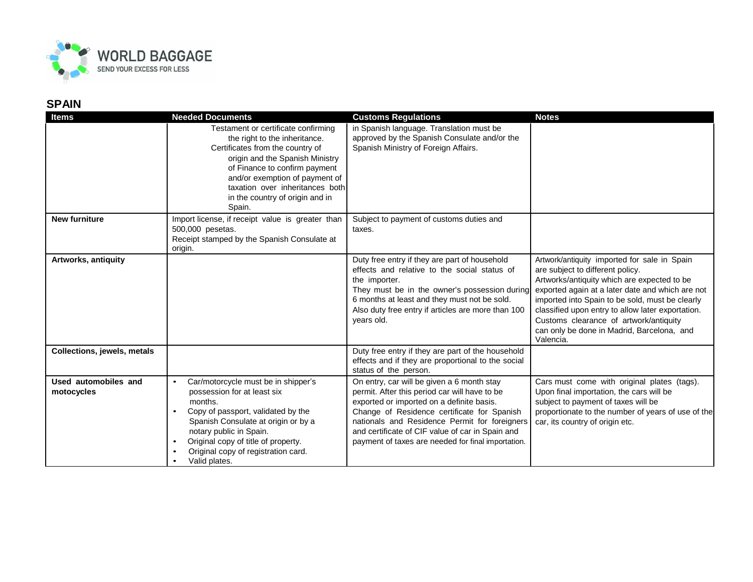

| <b>Items</b>                       | <b>Needed Documents</b>                                                                                                                                                                                                                                                                                                     | <b>Customs Regulations</b>                                                                                                                                                                                                                                                                                                                         | <b>Notes</b>                                                                                                                                                                                                                                                                                                                                                                                     |
|------------------------------------|-----------------------------------------------------------------------------------------------------------------------------------------------------------------------------------------------------------------------------------------------------------------------------------------------------------------------------|----------------------------------------------------------------------------------------------------------------------------------------------------------------------------------------------------------------------------------------------------------------------------------------------------------------------------------------------------|--------------------------------------------------------------------------------------------------------------------------------------------------------------------------------------------------------------------------------------------------------------------------------------------------------------------------------------------------------------------------------------------------|
|                                    | Testament or certificate confirming<br>the right to the inheritance.<br>Certificates from the country of<br>origin and the Spanish Ministry<br>of Finance to confirm payment<br>and/or exemption of payment of<br>taxation over inheritances both<br>in the country of origin and in<br>Spain.                              | in Spanish language. Translation must be<br>approved by the Spanish Consulate and/or the<br>Spanish Ministry of Foreign Affairs.                                                                                                                                                                                                                   |                                                                                                                                                                                                                                                                                                                                                                                                  |
| <b>New furniture</b>               | Import license, if receipt value is greater than<br>500,000 pesetas.<br>Receipt stamped by the Spanish Consulate at<br>origin.                                                                                                                                                                                              | Subject to payment of customs duties and<br>taxes.                                                                                                                                                                                                                                                                                                 |                                                                                                                                                                                                                                                                                                                                                                                                  |
| Artworks, antiquity                |                                                                                                                                                                                                                                                                                                                             | Duty free entry if they are part of household<br>effects and relative to the social status of<br>the importer.<br>They must be in the owner's possession during<br>6 months at least and they must not be sold.<br>Also duty free entry if articles are more than 100<br>years old.                                                                | Artwork/antiquity imported for sale in Spain<br>are subject to different policy.<br>Artworks/antiquity which are expected to be<br>exported again at a later date and which are not<br>imported into Spain to be sold, must be clearly<br>classified upon entry to allow later exportation.<br>Customs clearance of artwork/antiquity<br>can only be done in Madrid, Barcelona, and<br>Valencia. |
| Collections, jewels, metals        |                                                                                                                                                                                                                                                                                                                             | Duty free entry if they are part of the household<br>effects and if they are proportional to the social<br>status of the person.                                                                                                                                                                                                                   |                                                                                                                                                                                                                                                                                                                                                                                                  |
| Used automobiles and<br>motocycles | Car/motorcycle must be in shipper's<br>$\bullet$<br>possession for at least six<br>months.<br>Copy of passport, validated by the<br>$\bullet$<br>Spanish Consulate at origin or by a<br>notary public in Spain.<br>Original copy of title of property.<br>$\bullet$<br>Original copy of registration card.<br>Valid plates. | On entry, car will be given a 6 month stay<br>permit. After this period car will have to be<br>exported or imported on a definite basis.<br>Change of Residence certificate for Spanish<br>nationals and Residence Permit for foreigners<br>and certificate of CIF value of car in Spain and<br>payment of taxes are needed for final importation. | Cars must come with original plates (tags).<br>Upon final importation, the cars will be<br>subject to payment of taxes will be<br>proportionate to the number of years of use of the<br>car, its country of origin etc.                                                                                                                                                                          |